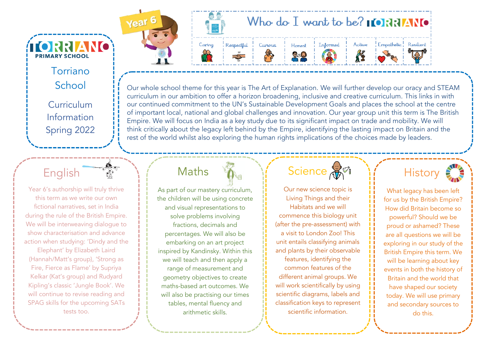Torriano School Curriculum Information Spring 2022

**ÍTORRIANO** 

**PRIMARY SCHOOL** 

#### English

Year 6's authorship will truly thrive this term as we write our own fictional narratives, set in India during the rule of the British Empire. We will be interweaving dialogue to show characterisation and advance action when studying: 'Dindy and the

Elephant' by Elizabeth Laird (Hannah/Matt's group), 'Strong as Fire, Fierce as Flame' by Supriya Kelkar (Kat's group) and Rudyard Kipling's classic 'Jungle Book'. We will continue to revise reading and SPAG skills for the upcoming SATs tests too.

### Who do I want to be?  $\blacksquare$   $\blacksquare$   $\blacksquare$   $\blacksquare$   $\blacksquare$



Year<sup>6</sup>

#### Honest  $\mathbb{Q}$

Curious







Our whole school theme for this year is The Art of Explanation. We will further develop our oracy and STEAM curriculum in our ambition to offer a horizon broadening, inclusive and creative curriculum. This links in with our continued commitment to the UN's Sustainable Development Goals and places the school at the centre of important local, national and global challenges and innovation. Our year group unit this term is The British Empire. We will focus on India as a key study due to its significant impact on trade and mobility. We will think critically about the legacy left behind by the Empire, identifying the lasting impact on Britain and the rest of the world whilst also exploring the human rights implications of the choices made by leaders.

### Maths

As part of our mastery curriculum, the children will be using concrete and visual representations to solve problems involving fractions, decimals and percentages. We will also be embarking on an art project inspired by Kandinsky. Within this we will teach and then apply a range of measurement and geometry objectives to create maths-based art outcomes. We will also be practising our times tables, mental fluency and arithmetic skills.

## Science AM

Our new science topic is Living Things and their Habitats and we will commence this biology unit (after the pre-assessment) with a visit to London Zoo! This unit entails classifying animals and plants by their observable features, identifying the common features of the different animal groups. We will work scientifically by using scientific diagrams, labels and classification keys to represent scientific information.



What legacy has been left for us by the British Empire? How did Britain become so powerful? Should we be proud or ashamed? These are all questions we will be exploring in our study of the British Empire this term. We will be learning about key events in both the history of Britain and the world that have shaped our society today. We will use primary and secondary sources to do this.